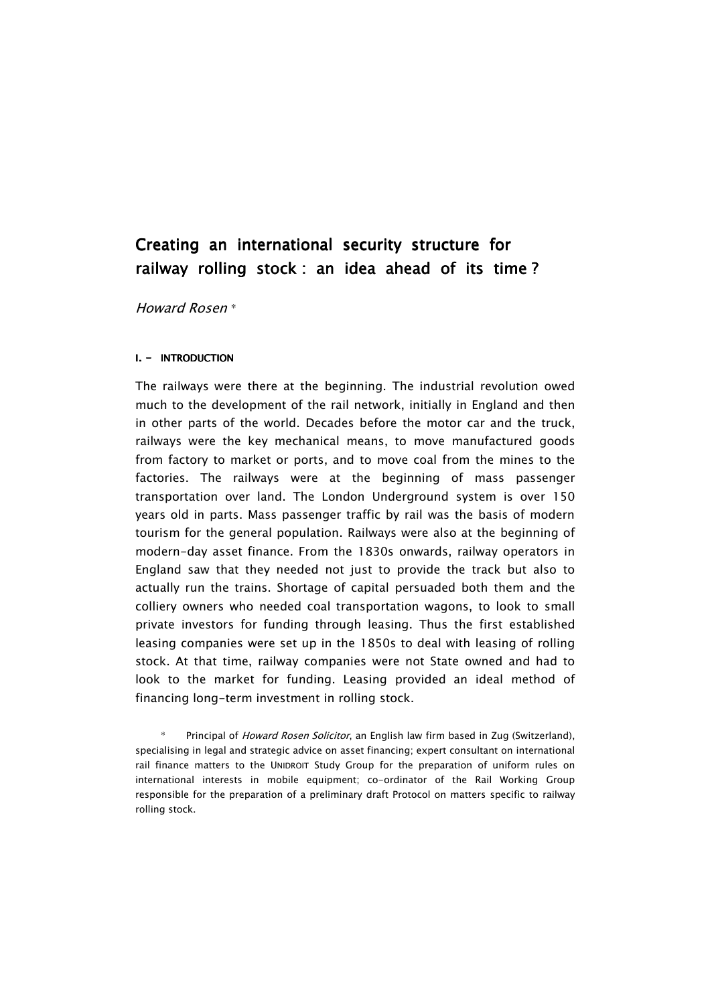# Creating an international security structure for railway rolling stock : an idea ahead of its time ?

Howard Rosen ∗

## I. – INTRODUCTION

The railways were there at the beginning. The industrial revolution owed much to the development of the rail network, initially in England and then in other parts of the world. Decades before the motor car and the truck, railways were the key mechanical means, to move manufactured goods from factory to market or ports, and to move coal from the mines to the factories. The railways were at the beginning of mass passenger transportation over land. The London Underground system is over 150 years old in parts. Mass passenger traffic by rail was the basis of modern tourism for the general population. Railways were also at the beginning of modern-day asset finance. From the 1830s onwards, railway operators in England saw that they needed not just to provide the track but also to actually run the trains. Shortage of capital persuaded both them and the colliery owners who needed coal transportation wagons, to look to small private investors for funding through leasing. Thus the first established leasing companies were set up in the 1850s to deal with leasing of rolling stock. At that time, railway companies were not State owned and had to look to the market for funding. Leasing provided an ideal method of financing long-term investment in rolling stock.

Principal of *Howard Rosen Solicitor*, an English law firm based in Zug (Switzerland), specialising in legal and strategic advice on asset financing; expert consultant on international rail finance matters to the UNIDROIT Study Group for the preparation of uniform rules on international interests in mobile equipment; co-ordinator of the Rail Working Group responsible for the preparation of a preliminary draft Protocol on matters specific to railway rolling stock.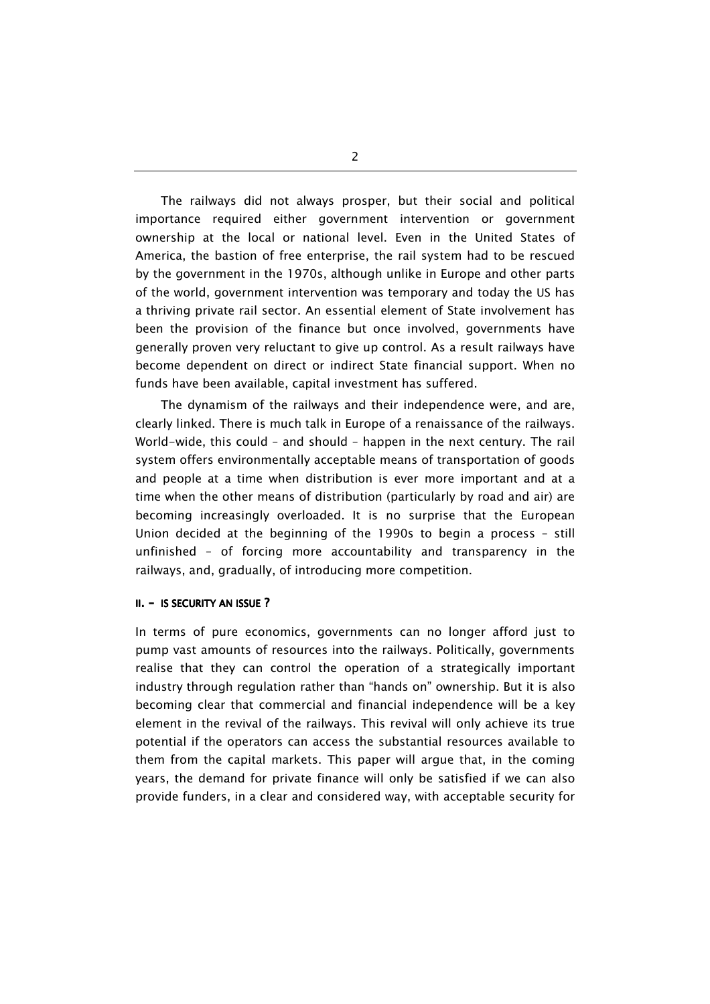The railways did not always prosper, but their social and political importance required either government intervention or government ownership at the local or national level. Even in the United States of America, the bastion of free enterprise, the rail system had to be rescued by the government in the 1970s, although unlike in Europe and other parts of the world, government intervention was temporary and today the US has a thriving private rail sector. An essential element of State involvement has been the provision of the finance but once involved, governments have generally proven very reluctant to give up control. As a result railways have become dependent on direct or indirect State financial support. When no funds have been available, capital investment has suffered.

The dynamism of the railways and their independence were, and are, clearly linked. There is much talk in Europe of a renaissance of the railways. World-wide, this could – and should – happen in the next century. The rail system offers environmentally acceptable means of transportation of goods and people at a time when distribution is ever more important and at a time when the other means of distribution (particularly by road and air) are becoming increasingly overloaded. It is no surprise that the European Union decided at the beginning of the 1990s to begin a process – still unfinished – of forcing more accountability and transparency in the railways, and, gradually, of introducing more competition.

### II. – IS SECURITY AN ISSUE ?

In terms of pure economics, governments can no longer afford just to pump vast amounts of resources into the railways. Politically, governments realise that they can control the operation of a strategically important industry through regulation rather than "hands on" ownership. But it is also becoming clear that commercial and financial independence will be a key element in the revival of the railways. This revival will only achieve its true potential if the operators can access the substantial resources available to them from the capital markets. This paper will argue that, in the coming years, the demand for private finance will only be satisfied if we can also provide funders, in a clear and considered way, with acceptable security for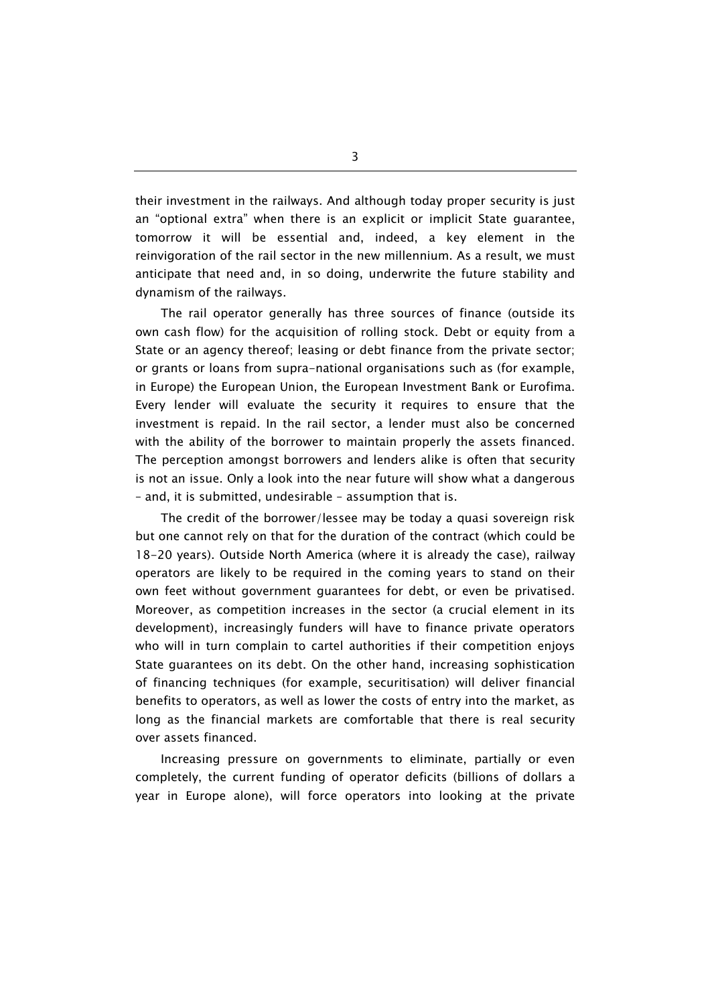their investment in the railways. And although today proper security is just an "optional extra" when there is an explicit or implicit State guarantee, tomorrow it will be essential and, indeed, a key element in the reinvigoration of the rail sector in the new millennium. As a result, we must anticipate that need and, in so doing, underwrite the future stability and dynamism of the railways.

The rail operator generally has three sources of finance (outside its own cash flow) for the acquisition of rolling stock. Debt or equity from a State or an agency thereof; leasing or debt finance from the private sector; or grants or loans from supra-national organisations such as (for example, in Europe) the European Union, the European Investment Bank or Eurofima. Every lender will evaluate the security it requires to ensure that the investment is repaid. In the rail sector, a lender must also be concerned with the ability of the borrower to maintain properly the assets financed. The perception amongst borrowers and lenders alike is often that security is not an issue. Only a look into the near future will show what a dangerous – and, it is submitted, undesirable – assumption that is.

The credit of the borrower/lessee may be today a quasi sovereign risk but one cannot rely on that for the duration of the contract (which could be 18-20 years). Outside North America (where it is already the case), railway operators are likely to be required in the coming years to stand on their own feet without government guarantees for debt, or even be privatised. Moreover, as competition increases in the sector (a crucial element in its development), increasingly funders will have to finance private operators who will in turn complain to cartel authorities if their competition enjoys State guarantees on its debt. On the other hand, increasing sophistication of financing techniques (for example, securitisation) will deliver financial benefits to operators, as well as lower the costs of entry into the market, as long as the financial markets are comfortable that there is real security over assets financed.

Increasing pressure on governments to eliminate, partially or even completely, the current funding of operator deficits (billions of dollars a year in Europe alone), will force operators into looking at the private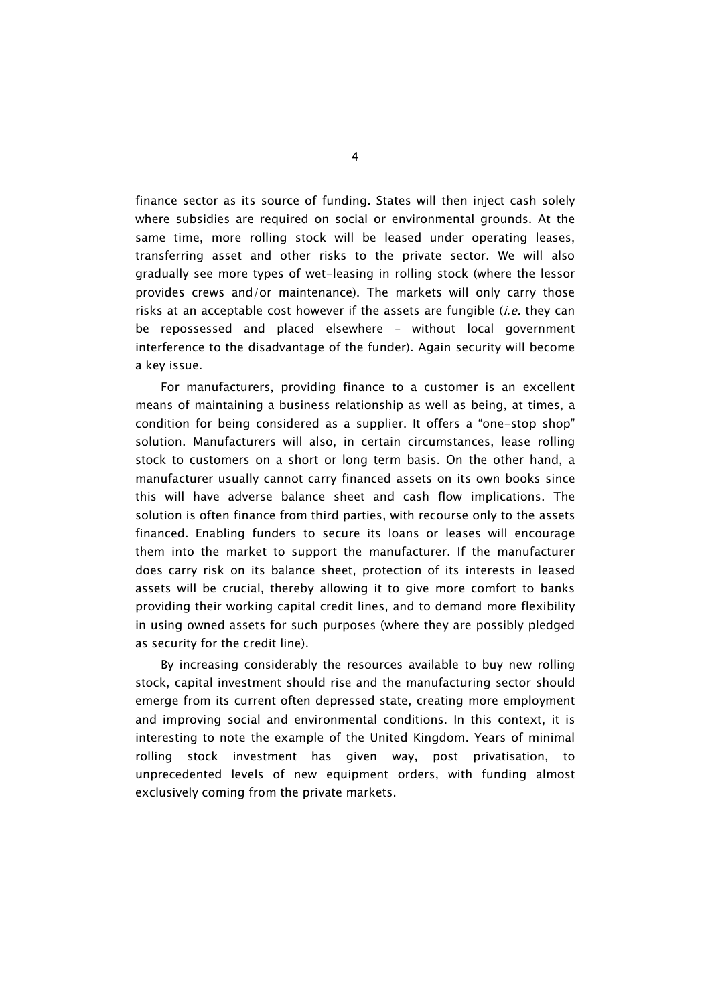finance sector as its source of funding. States will then inject cash solely where subsidies are required on social or environmental grounds. At the same time, more rolling stock will be leased under operating leases, transferring asset and other risks to the private sector. We will also gradually see more types of wet-leasing in rolling stock (where the lessor provides crews and/or maintenance). The markets will only carry those risks at an acceptable cost however if the assets are fungible  $(i.e.$  they can be repossessed and placed elsewhere – without local government interference to the disadvantage of the funder). Again security will become a key issue.

For manufacturers, providing finance to a customer is an excellent means of maintaining a business relationship as well as being, at times, a condition for being considered as a supplier. It offers a "one-stop shop" solution. Manufacturers will also, in certain circumstances, lease rolling stock to customers on a short or long term basis. On the other hand, a manufacturer usually cannot carry financed assets on its own books since this will have adverse balance sheet and cash flow implications. The solution is often finance from third parties, with recourse only to the assets financed. Enabling funders to secure its loans or leases will encourage them into the market to support the manufacturer. If the manufacturer does carry risk on its balance sheet, protection of its interests in leased assets will be crucial, thereby allowing it to give more comfort to banks providing their working capital credit lines, and to demand more flexibility in using owned assets for such purposes (where they are possibly pledged as security for the credit line).

By increasing considerably the resources available to buy new rolling stock, capital investment should rise and the manufacturing sector should emerge from its current often depressed state, creating more employment and improving social and environmental conditions. In this context, it is interesting to note the example of the United Kingdom. Years of minimal rolling stock investment has given way, post privatisation, to unprecedented levels of new equipment orders, with funding almost exclusively coming from the private markets.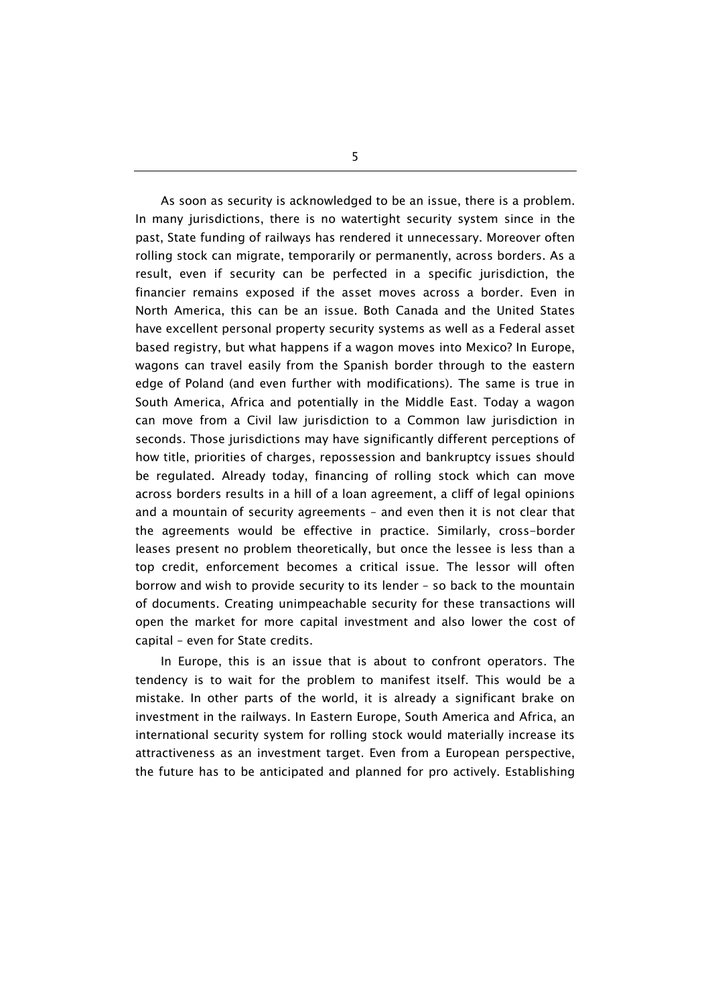As soon as security is acknowledged to be an issue, there is a problem. In many jurisdictions, there is no watertight security system since in the past, State funding of railways has rendered it unnecessary. Moreover often rolling stock can migrate, temporarily or permanently, across borders. As a result, even if security can be perfected in a specific jurisdiction, the financier remains exposed if the asset moves across a border. Even in North America, this can be an issue. Both Canada and the United States have excellent personal property security systems as well as a Federal asset based registry, but what happens if a wagon moves into Mexico? In Europe, wagons can travel easily from the Spanish border through to the eastern edge of Poland (and even further with modifications). The same is true in South America, Africa and potentially in the Middle East. Today a wagon can move from a Civil law jurisdiction to a Common law jurisdiction in seconds. Those jurisdictions may have significantly different perceptions of how title, priorities of charges, repossession and bankruptcy issues should be regulated. Already today, financing of rolling stock which can move across borders results in a hill of a loan agreement, a cliff of legal opinions and a mountain of security agreements – and even then it is not clear that the agreements would be effective in practice. Similarly, cross-border leases present no problem theoretically, but once the lessee is less than a top credit, enforcement becomes a critical issue. The lessor will often borrow and wish to provide security to its lender – so back to the mountain of documents. Creating unimpeachable security for these transactions will open the market for more capital investment and also lower the cost of capital – even for State credits.

In Europe, this is an issue that is about to confront operators. The tendency is to wait for the problem to manifest itself. This would be a mistake. In other parts of the world, it is already a significant brake on investment in the railways. In Eastern Europe, South America and Africa, an international security system for rolling stock would materially increase its attractiveness as an investment target. Even from a European perspective, the future has to be anticipated and planned for pro actively. Establishing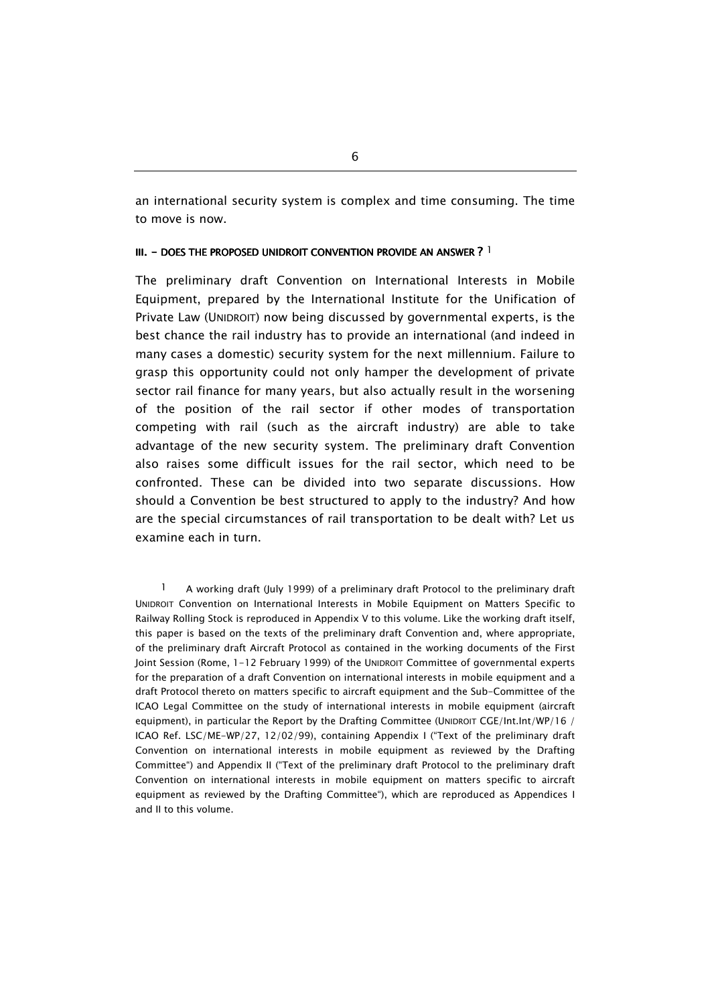an international security system is complex and time consuming. The time to move is now.

#### III. - DOES THE PROPOSED UNIDROIT CONVENTION PROVIDE AN ANSWER ?  $1$

The preliminary draft Convention on International Interests in Mobile Equipment, prepared by the International Institute for the Unification of Private Law (UNIDROIT) now being discussed by governmental experts, is the best chance the rail industry has to provide an international (and indeed in many cases a domestic) security system for the next millennium. Failure to grasp this opportunity could not only hamper the development of private sector rail finance for many years, but also actually result in the worsening of the position of the rail sector if other modes of transportation competing with rail (such as the aircraft industry) are able to take advantage of the new security system. The preliminary draft Convention also raises some difficult issues for the rail sector, which need to be confronted. These can be divided into two separate discussions. How should a Convention be best structured to apply to the industry? And how are the special circumstances of rail transportation to be dealt with? Let us examine each in turn.

1 A working draft (July 1999) of a preliminary draft Protocol to the preliminary draft UNIDROIT Convention on International Interests in Mobile Equipment on Matters Specific to Railway Rolling Stock is reproduced in Appendix V to this volume. Like the working draft itself, this paper is based on the texts of the preliminary draft Convention and, where appropriate, of the preliminary draft Aircraft Protocol as contained in the working documents of the First Joint Session (Rome, 1-12 February 1999) of the UNIDROIT Committee of governmental experts for the preparation of a draft Convention on international interests in mobile equipment and a draft Protocol thereto on matters specific to aircraft equipment and the Sub-Committee of the ICAO Legal Committee on the study of international interests in mobile equipment (aircraft equipment), in particular the Report by the Drafting Committee (UNIDROIT CGE/Int.Int/WP/16 / ICAO Ref. LSC/ME-WP/27, 12/02/99), containing Appendix I ("Text of the preliminary draft Convention on international interests in mobile equipment as reviewed by the Drafting Committee") and Appendix II ("Text of the preliminary draft Protocol to the preliminary draft Convention on international interests in mobile equipment on matters specific to aircraft equipment as reviewed by the Drafting Committee"), which are reproduced as Appendices I and II to this volume.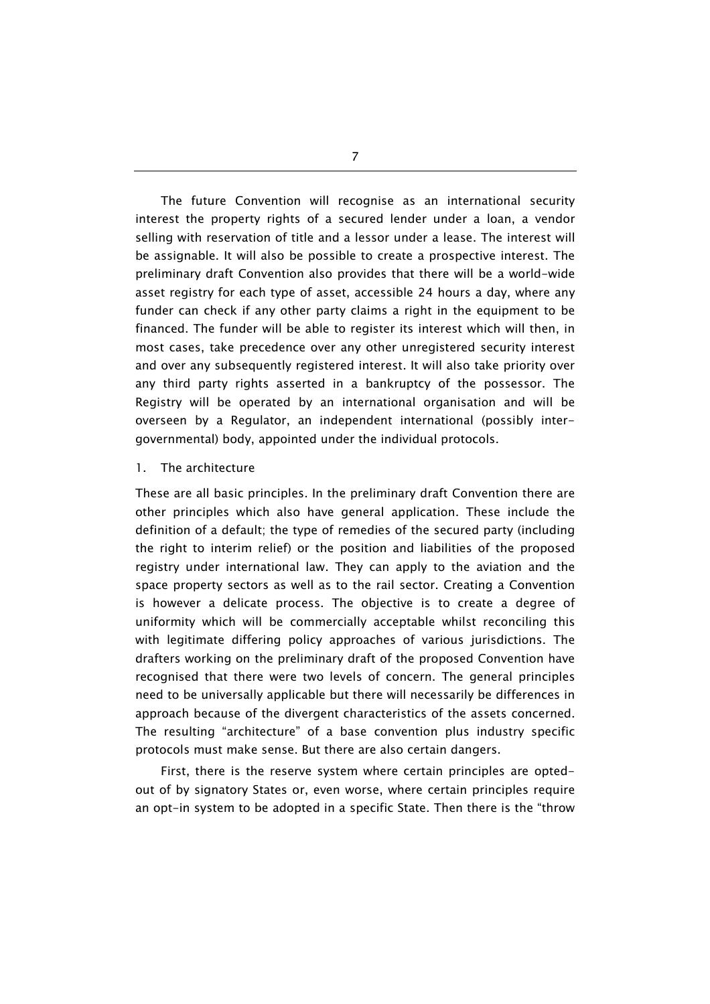The future Convention will recognise as an international security interest the property rights of a secured lender under a loan, a vendor selling with reservation of title and a lessor under a lease. The interest will be assignable. It will also be possible to create a prospective interest. The preliminary draft Convention also provides that there will be a world-wide asset registry for each type of asset, accessible 24 hours a day, where any funder can check if any other party claims a right in the equipment to be financed. The funder will be able to register its interest which will then, in most cases, take precedence over any other unregistered security interest and over any subsequently registered interest. It will also take priority over any third party rights asserted in a bankruptcy of the possessor. The Registry will be operated by an international organisation and will be overseen by a Regulator, an independent international (possibly intergovernmental) body, appointed under the individual protocols.

## 1. The architecture

These are all basic principles. In the preliminary draft Convention there are other principles which also have general application. These include the definition of a default; the type of remedies of the secured party (including the right to interim relief) or the position and liabilities of the proposed registry under international law. They can apply to the aviation and the space property sectors as well as to the rail sector. Creating a Convention is however a delicate process. The objective is to create a degree of uniformity which will be commercially acceptable whilst reconciling this with legitimate differing policy approaches of various jurisdictions. The drafters working on the preliminary draft of the proposed Convention have recognised that there were two levels of concern. The general principles need to be universally applicable but there will necessarily be differences in approach because of the divergent characteristics of the assets concerned. The resulting "architecture" of a base convention plus industry specific protocols must make sense. But there are also certain dangers.

First, there is the reserve system where certain principles are optedout of by signatory States or, even worse, where certain principles require an opt-in system to be adopted in a specific State. Then there is the "throw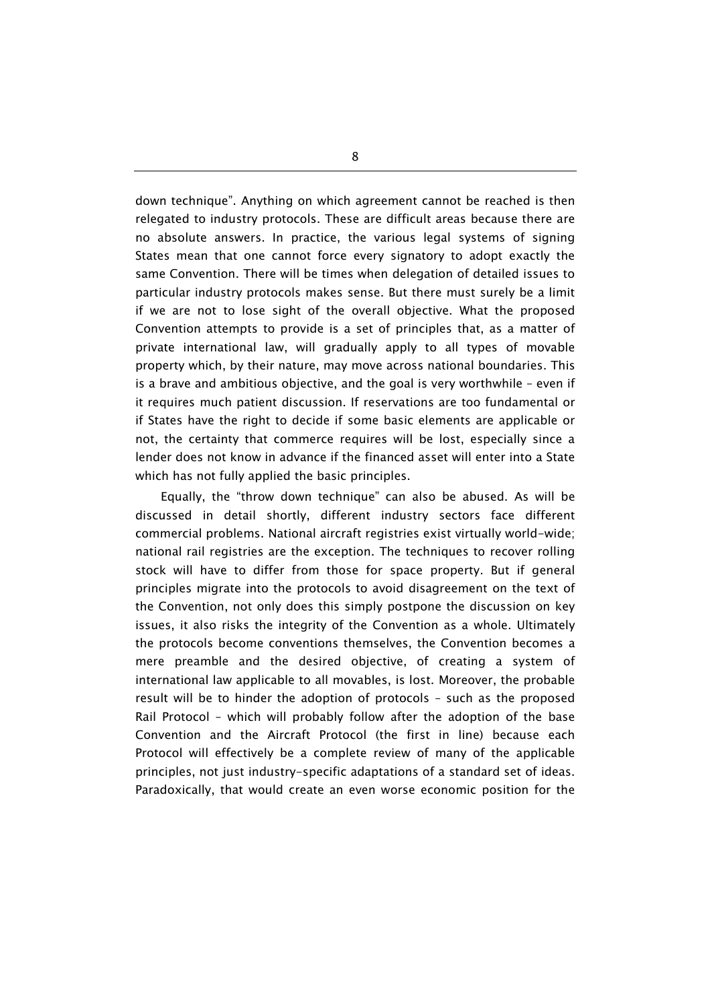down technique". Anything on which agreement cannot be reached is then relegated to industry protocols. These are difficult areas because there are no absolute answers. In practice, the various legal systems of signing States mean that one cannot force every signatory to adopt exactly the same Convention. There will be times when delegation of detailed issues to particular industry protocols makes sense. But there must surely be a limit if we are not to lose sight of the overall objective. What the proposed Convention attempts to provide is a set of principles that, as a matter of private international law, will gradually apply to all types of movable property which, by their nature, may move across national boundaries. This is a brave and ambitious objective, and the goal is very worthwhile – even if it requires much patient discussion. If reservations are too fundamental or if States have the right to decide if some basic elements are applicable or not, the certainty that commerce requires will be lost, especially since a lender does not know in advance if the financed asset will enter into a State which has not fully applied the basic principles.

Equally, the "throw down technique" can also be abused. As will be discussed in detail shortly, different industry sectors face different commercial problems. National aircraft registries exist virtually world-wide; national rail registries are the exception. The techniques to recover rolling stock will have to differ from those for space property. But if general principles migrate into the protocols to avoid disagreement on the text of the Convention, not only does this simply postpone the discussion on key issues, it also risks the integrity of the Convention as a whole. Ultimately the protocols become conventions themselves, the Convention becomes a mere preamble and the desired objective, of creating a system of international law applicable to all movables, is lost. Moreover, the probable result will be to hinder the adoption of protocols – such as the proposed Rail Protocol – which will probably follow after the adoption of the base Convention and the Aircraft Protocol (the first in line) because each Protocol will effectively be a complete review of many of the applicable principles, not just industry-specific adaptations of a standard set of ideas. Paradoxically, that would create an even worse economic position for the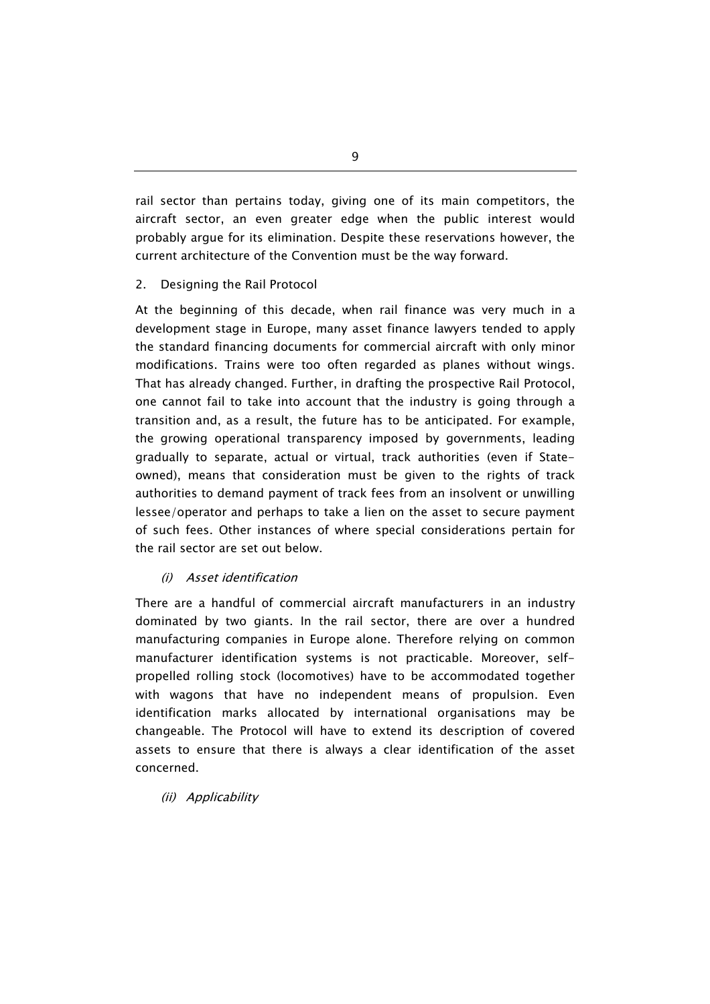rail sector than pertains today, giving one of its main competitors, the aircraft sector, an even greater edge when the public interest would probably argue for its elimination. Despite these reservations however, the current architecture of the Convention must be the way forward.

## 2. Designing the Rail Protocol

At the beginning of this decade, when rail finance was very much in a development stage in Europe, many asset finance lawyers tended to apply the standard financing documents for commercial aircraft with only minor modifications. Trains were too often regarded as planes without wings. That has already changed. Further, in drafting the prospective Rail Protocol, one cannot fail to take into account that the industry is going through a transition and, as a result, the future has to be anticipated. For example, the growing operational transparency imposed by governments, leading gradually to separate, actual or virtual, track authorities (even if Stateowned), means that consideration must be given to the rights of track authorities to demand payment of track fees from an insolvent or unwilling lessee/operator and perhaps to take a lien on the asset to secure payment of such fees. Other instances of where special considerations pertain for the rail sector are set out below.

## (i) Asset identification

There are a handful of commercial aircraft manufacturers in an industry dominated by two giants. In the rail sector, there are over a hundred manufacturing companies in Europe alone. Therefore relying on common manufacturer identification systems is not practicable. Moreover, selfpropelled rolling stock (locomotives) have to be accommodated together with wagons that have no independent means of propulsion. Even identification marks allocated by international organisations may be changeable. The Protocol will have to extend its description of covered assets to ensure that there is always a clear identification of the asset concerned.

# (ii) Applicability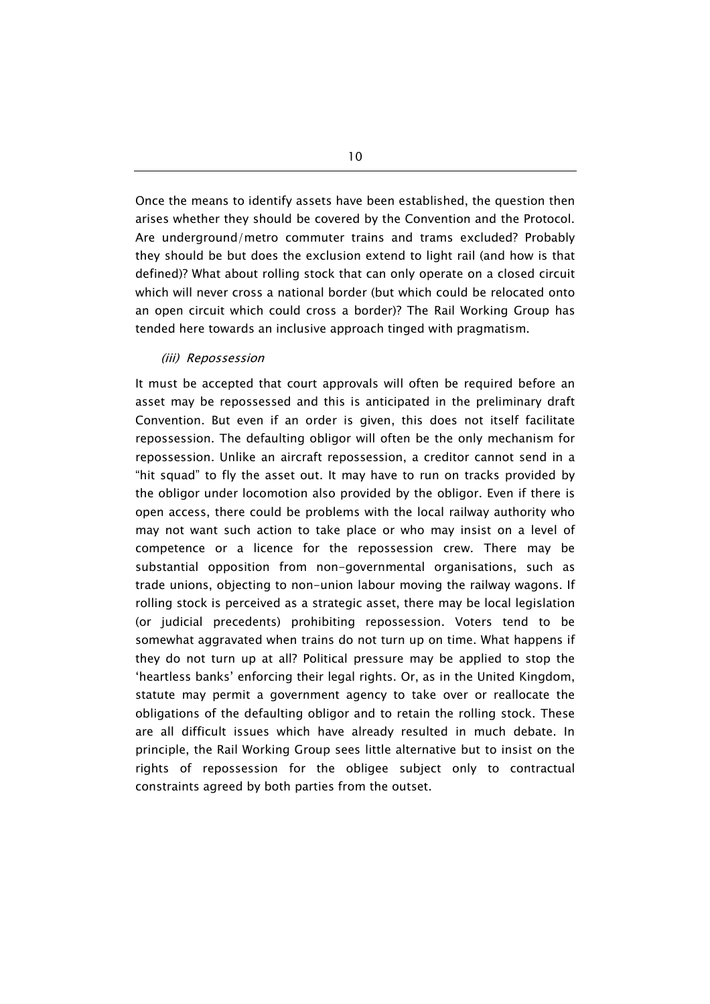Once the means to identify assets have been established, the question then arises whether they should be covered by the Convention and the Protocol. Are underground/metro commuter trains and trams excluded? Probably they should be but does the exclusion extend to light rail (and how is that defined)? What about rolling stock that can only operate on a closed circuit which will never cross a national border (but which could be relocated onto an open circuit which could cross a border)? The Rail Working Group has tended here towards an inclusive approach tinged with pragmatism.

#### (iii) Repossession

It must be accepted that court approvals will often be required before an asset may be repossessed and this is anticipated in the preliminary draft Convention. But even if an order is given, this does not itself facilitate repossession. The defaulting obligor will often be the only mechanism for repossession. Unlike an aircraft repossession, a creditor cannot send in a "hit squad" to fly the asset out. It may have to run on tracks provided by the obligor under locomotion also provided by the obligor. Even if there is open access, there could be problems with the local railway authority who may not want such action to take place or who may insist on a level of competence or a licence for the repossession crew. There may be substantial opposition from non-governmental organisations, such as trade unions, objecting to non-union labour moving the railway wagons. If rolling stock is perceived as a strategic asset, there may be local legislation (or judicial precedents) prohibiting repossession. Voters tend to be somewhat aggravated when trains do not turn up on time. What happens if they do not turn up at all? Political pressure may be applied to stop the 'heartless banks' enforcing their legal rights. Or, as in the United Kingdom, statute may permit a government agency to take over or reallocate the obligations of the defaulting obligor and to retain the rolling stock. These are all difficult issues which have already resulted in much debate. In principle, the Rail Working Group sees little alternative but to insist on the rights of repossession for the obligee subject only to contractual constraints agreed by both parties from the outset.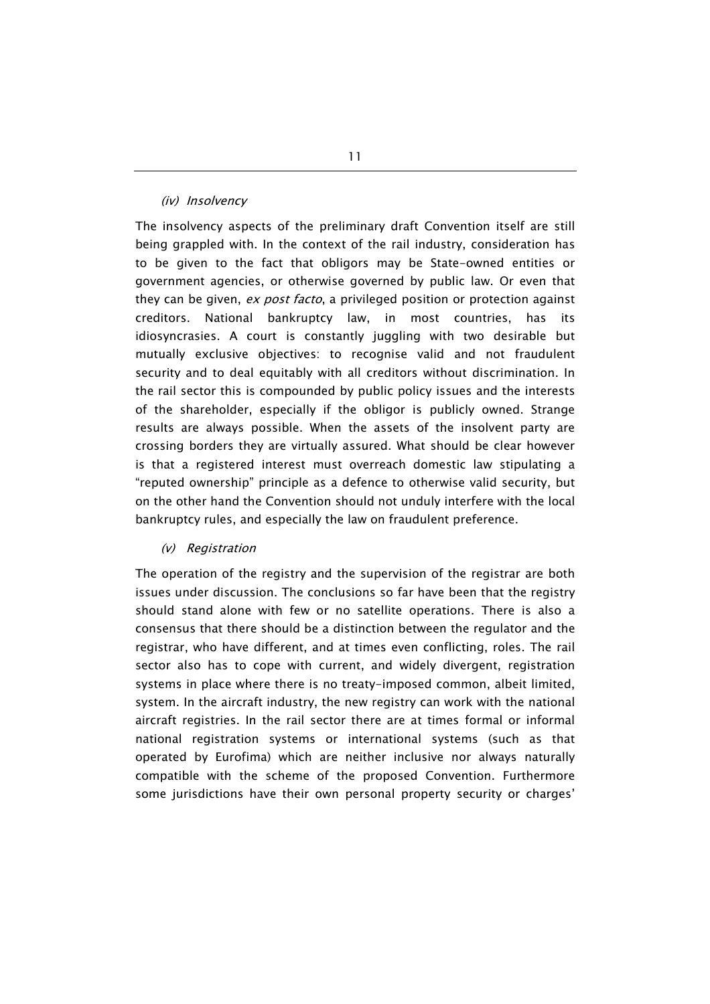## (iv) Insolvency

The insolvency aspects of the preliminary draft Convention itself are still being grappled with. In the context of the rail industry, consideration has to be given to the fact that obligors may be State-owned entities or government agencies, or otherwise governed by public law. Or even that they can be given, ex post facto, a privileged position or protection against creditors. National bankruptcy law, in most countries, has its idiosyncrasies. A court is constantly juggling with two desirable but mutually exclusive objectives: to recognise valid and not fraudulent security and to deal equitably with all creditors without discrimination. In the rail sector this is compounded by public policy issues and the interests of the shareholder, especially if the obligor is publicly owned. Strange results are always possible. When the assets of the insolvent party are crossing borders they are virtually assured. What should be clear however is that a registered interest must overreach domestic law stipulating a "reputed ownership" principle as a defence to otherwise valid security, but on the other hand the Convention should not unduly interfere with the local bankruptcy rules, and especially the law on fraudulent preference.

## (v) Registration

The operation of the registry and the supervision of the registrar are both issues under discussion. The conclusions so far have been that the registry should stand alone with few or no satellite operations. There is also a consensus that there should be a distinction between the regulator and the registrar, who have different, and at times even conflicting, roles. The rail sector also has to cope with current, and widely divergent, registration systems in place where there is no treaty-imposed common, albeit limited, system. In the aircraft industry, the new registry can work with the national aircraft registries. In the rail sector there are at times formal or informal national registration systems or international systems (such as that operated by Eurofima) which are neither inclusive nor always naturally compatible with the scheme of the proposed Convention. Furthermore some jurisdictions have their own personal property security or charges'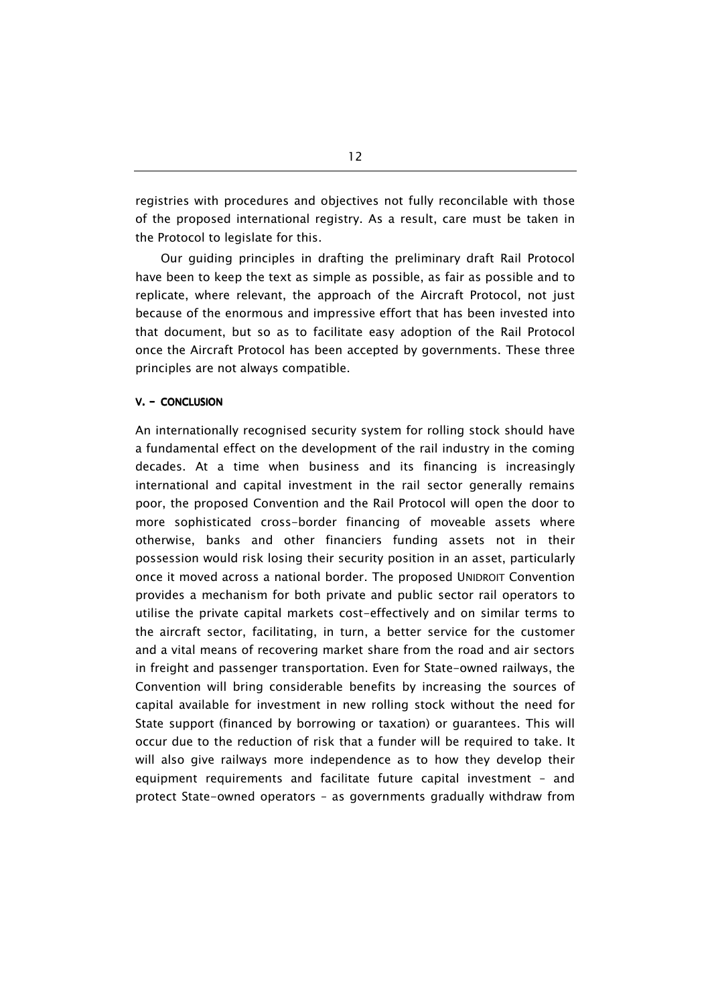registries with procedures and objectives not fully reconcilable with those of the proposed international registry. As a result, care must be taken in the Protocol to legislate for this.

Our guiding principles in drafting the preliminary draft Rail Protocol have been to keep the text as simple as possible, as fair as possible and to replicate, where relevant, the approach of the Aircraft Protocol, not just because of the enormous and impressive effort that has been invested into that document, but so as to facilitate easy adoption of the Rail Protocol once the Aircraft Protocol has been accepted by governments. These three principles are not always compatible.

#### V. – CONCLUSION

An internationally recognised security system for rolling stock should have a fundamental effect on the development of the rail industry in the coming decades. At a time when business and its financing is increasingly international and capital investment in the rail sector generally remains poor, the proposed Convention and the Rail Protocol will open the door to more sophisticated cross-border financing of moveable assets where otherwise, banks and other financiers funding assets not in their possession would risk losing their security position in an asset, particularly once it moved across a national border. The proposed UNIDROIT Convention provides a mechanism for both private and public sector rail operators to utilise the private capital markets cost-effectively and on similar terms to the aircraft sector, facilitating, in turn, a better service for the customer and a vital means of recovering market share from the road and air sectors in freight and passenger transportation. Even for State-owned railways, the Convention will bring considerable benefits by increasing the sources of capital available for investment in new rolling stock without the need for State support (financed by borrowing or taxation) or guarantees. This will occur due to the reduction of risk that a funder will be required to take. It will also give railways more independence as to how they develop their equipment requirements and facilitate future capital investment – and protect State-owned operators – as governments gradually withdraw from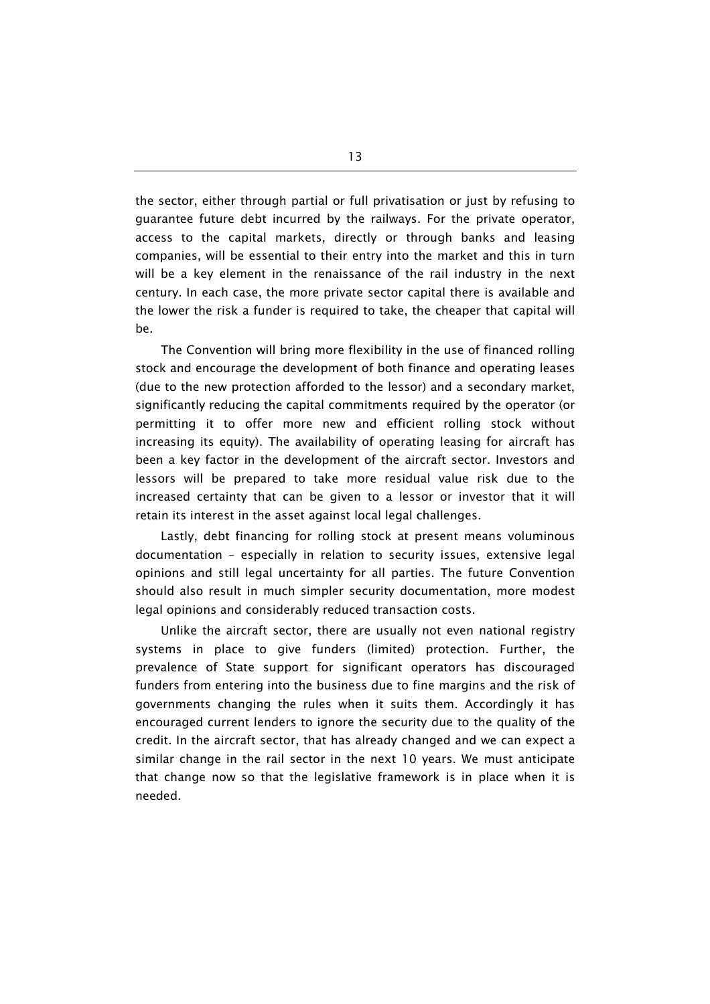the sector, either through partial or full privatisation or just by refusing to guarantee future debt incurred by the railways. For the private operator, access to the capital markets, directly or through banks and leasing companies, will be essential to their entry into the market and this in turn will be a key element in the renaissance of the rail industry in the next century. In each case, the more private sector capital there is available and the lower the risk a funder is required to take, the cheaper that capital will be.

The Convention will bring more flexibility in the use of financed rolling stock and encourage the development of both finance and operating leases (due to the new protection afforded to the lessor) and a secondary market, significantly reducing the capital commitments required by the operator (or permitting it to offer more new and efficient rolling stock without increasing its equity). The availability of operating leasing for aircraft has been a key factor in the development of the aircraft sector. Investors and lessors will be prepared to take more residual value risk due to the increased certainty that can be given to a lessor or investor that it will retain its interest in the asset against local legal challenges.

Lastly, debt financing for rolling stock at present means voluminous documentation – especially in relation to security issues, extensive legal opinions and still legal uncertainty for all parties. The future Convention should also result in much simpler security documentation, more modest legal opinions and considerably reduced transaction costs.

Unlike the aircraft sector, there are usually not even national registry systems in place to give funders (limited) protection. Further, the prevalence of State support for significant operators has discouraged funders from entering into the business due to fine margins and the risk of governments changing the rules when it suits them. Accordingly it has encouraged current lenders to ignore the security due to the quality of the credit. In the aircraft sector, that has already changed and we can expect a similar change in the rail sector in the next 10 years. We must anticipate that change now so that the legislative framework is in place when it is needed.